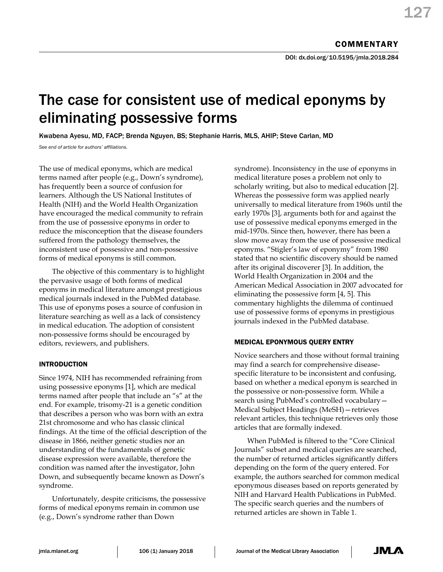DOI: dx.doi.org/10.5195/jmla.2018.284

# The case for consistent use of medical eponyms by eliminating possessive forms

Kwabena Ayesu, MD, FACP; Brenda Nguyen, BS; Stephanie Harris, MLS, AHIP; Steve Carlan, MD

*See end of article for authors' affiliations.*

The use of medical eponyms, which are medical terms named after people (e.g., Down's syndrome), has frequently been a source of confusion for learners. Although the US National Institutes of Health (NIH) and the World Health Organization have encouraged the medical community to refrain from the use of possessive eponyms in order to reduce the misconception that the disease founders suffered from the pathology themselves, the inconsistent use of possessive and non-possessive forms of medical eponyms is still common.

The objective of this commentary is to highlight the pervasive usage of both forms of medical eponyms in medical literature amongst prestigious medical journals indexed in the PubMed database. This use of eponyms poses a source of confusion in literature searching as well as a lack of consistency in medical education. The adoption of consistent non-possessive forms should be encouraged by editors, reviewers, and publishers.

# INTRODUCTION

Since 1974, NIH has recommended refraining from using possessive eponyms [1], which are medical terms named after people that include an "s" at the end. For example, trisomy-21 is a genetic condition that describes a person who was born with an extra 21st chromosome and who has classic clinical findings. At the time of the official description of the disease in 1866, neither genetic studies nor an understanding of the fundamentals of genetic disease expression were available, therefore the condition was named after the investigator, John Down, and subsequently became known as Down's syndrome.

Unfortunately, despite criticisms, the possessive forms of medical eponyms remain in common use (e.g., Down's syndrome rather than Down

syndrome). Inconsistency in the use of eponyms in medical literature poses a problem not only to scholarly writing, but also to medical education [2]. Whereas the possessive form was applied nearly universally to medical literature from 1960s until the early 1970s [3], arguments both for and against the use of possessive medical eponyms emerged in the mid-1970s. Since then, however, there has been a slow move away from the use of possessive medical eponyms. "Stigler's law of eponymy" from 1980 stated that no scientific discovery should be named after its original discoverer [3]. In addition, the World Health Organization in 2004 and the American Medical Association in 2007 advocated for eliminating the possessive form [4, 5]. This commentary highlights the dilemma of continued use of possessive forms of eponyms in prestigious journals indexed in the PubMed database.

# MEDICAL EPONYMOUS QUERY ENTRY

Novice searchers and those without formal training may find a search for comprehensive diseasespecific literature to be inconsistent and confusing, based on whether a medical eponym is searched in the possessive or non-possessive form. While a search using PubMed's controlled vocabulary— Medical Subject Headings (MeSH)—retrieves relevant articles, this technique retrieves only those articles that are formally indexed.

When PubMed is filtered to the "Core Clinical Journals" subset and medical queries are searched, the number of returned articles significantly differs depending on the form of the query entered. For example, the authors searched for common medical eponymous diseases based on reports generated by NIH and Harvard Health Publications in PubMed. The specific search queries and the numbers of returned articles are shown in Table 1.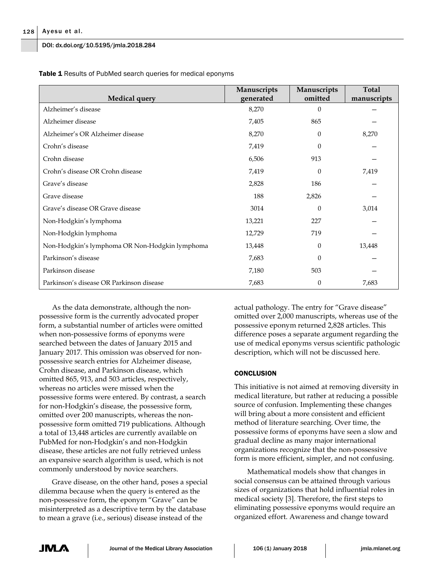DOI: dx.doi.org/10.5195/jmla.2018.284

| <b>Medical query</b>                           | Manuscripts<br>generated | Manuscripts<br>omitted | <b>Total</b><br>manuscripts |
|------------------------------------------------|--------------------------|------------------------|-----------------------------|
| Alzheimer's disease                            | 8,270                    | $\theta$               |                             |
| Alzheimer disease                              | 7,405                    | 865                    |                             |
| Alzheimer's OR Alzheimer disease               | 8,270                    | $\Omega$               | 8,270                       |
| Crohn's disease                                | 7,419                    | $\Omega$               |                             |
| Crohn disease                                  | 6,506                    | 913                    |                             |
| Crohn's disease OR Crohn disease               | 7,419                    | $\theta$               | 7,419                       |
| Grave's disease                                | 2,828                    | 186                    |                             |
| Grave disease                                  | 188                      | 2,826                  |                             |
| Grave's disease OR Grave disease               | 3014                     | $\theta$               | 3,014                       |
| Non-Hodgkin's lymphoma                         | 13,221                   | 227                    |                             |
| Non-Hodgkin lymphoma                           | 12,729                   | 719                    |                             |
| Non-Hodgkin's lymphoma OR Non-Hodgkin lymphoma | 13,448                   | $\Omega$               | 13,448                      |
| Parkinson's disease                            | 7,683                    | $\theta$               |                             |
| Parkinson disease                              | 7,180                    | 503                    |                             |
| Parkinson's disease OR Parkinson disease       | 7,683                    | $\theta$               | 7,683                       |

**Table 1** Results of PubMed search queries for medical eponyms

As the data demonstrate, although the nonpossessive form is the currently advocated proper form, a substantial number of articles were omitted when non-possessive forms of eponyms were searched between the dates of January 2015 and January 2017. This omission was observed for nonpossessive search entries for Alzheimer disease, Crohn disease, and Parkinson disease, which omitted 865, 913, and 503 articles, respectively, whereas no articles were missed when the possessive forms were entered. By contrast, a search for non-Hodgkin's disease, the possessive form, omitted over 200 manuscripts, whereas the nonpossessive form omitted 719 publications. Although a total of 13,448 articles are currently available on PubMed for non-Hodgkin's and non-Hodgkin disease, these articles are not fully retrieved unless an expansive search algorithm is used, which is not commonly understood by novice searchers.

Grave disease, on the other hand, poses a special dilemma because when the query is entered as the non-possessive form, the eponym "Grave" can be misinterpreted as a descriptive term by the database to mean a grave (i.e., serious) disease instead of the

actual pathology. The entry for "Grave disease" omitted over 2,000 manuscripts, whereas use of the possessive eponym returned 2,828 articles. This difference poses a separate argument regarding the use of medical eponyms versus scientific pathologic description, which will not be discussed here.

### **CONCLUSION**

This initiative is not aimed at removing diversity in medical literature, but rather at reducing a possible source of confusion. Implementing these changes will bring about a more consistent and efficient method of literature searching. Over time, the possessive forms of eponyms have seen a slow and gradual decline as many major international organizations recognize that the non-possessive form is more efficient, simpler, and not confusing.

Mathematical models show that changes in social consensus can be attained through various sizes of organizations that hold influential roles in medical society [3]. Therefore, the first steps to eliminating possessive eponyms would require an organized effort. Awareness and change toward